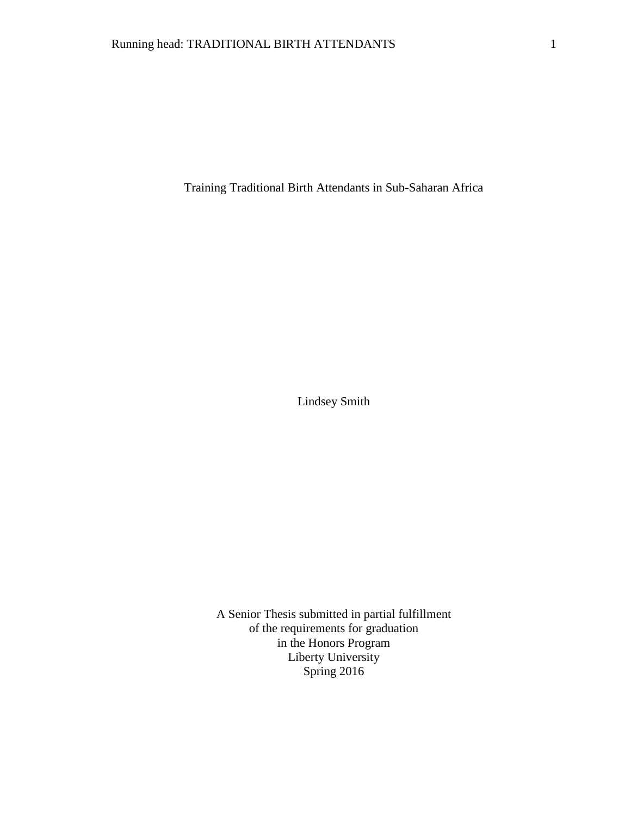Training Traditional Birth Attendants in Sub-Saharan Africa

Lindsey Smith

A Senior Thesis submitted in partial fulfillment of the requirements for graduation in the Honors Program Liberty University Spring 2016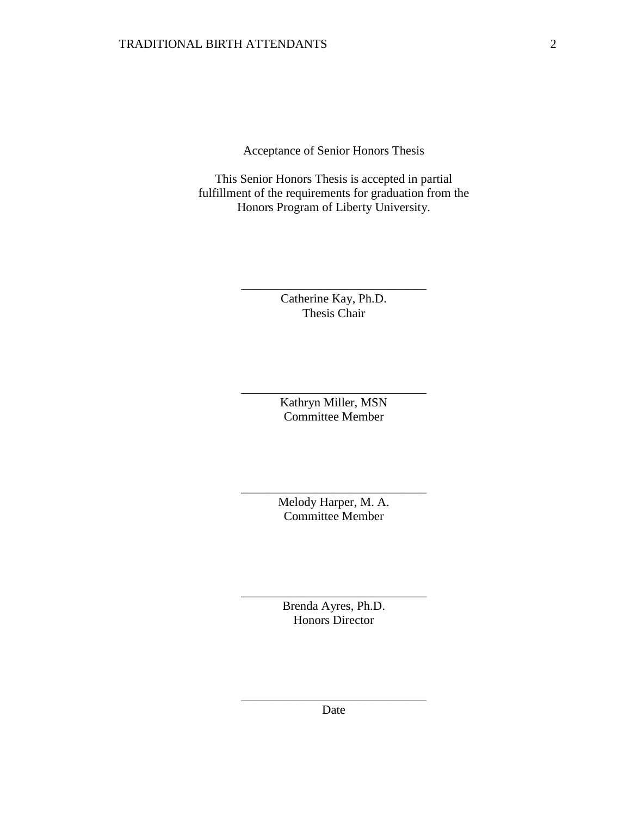Acceptance of Senior Honors Thesis

This Senior Honors Thesis is accepted in partial fulfillment of the requirements for graduation from the Honors Program of Liberty University.

> Catherine Kay, Ph.D. Thesis Chair

\_\_\_\_\_\_\_\_\_\_\_\_\_\_\_\_\_\_\_\_\_\_\_\_\_\_\_\_\_\_

Kathryn Miller, MSN Committee Member

\_\_\_\_\_\_\_\_\_\_\_\_\_\_\_\_\_\_\_\_\_\_\_\_\_\_\_\_\_\_

Melody Harper, M. A. Committee Member

\_\_\_\_\_\_\_\_\_\_\_\_\_\_\_\_\_\_\_\_\_\_\_\_\_\_\_\_\_\_

Brenda Ayres, Ph.D. Honors Director

\_\_\_\_\_\_\_\_\_\_\_\_\_\_\_\_\_\_\_\_\_\_\_\_\_\_\_\_\_\_

\_\_\_\_\_\_\_\_\_\_\_\_\_\_\_\_\_\_\_\_\_\_\_\_\_\_\_\_\_\_ Date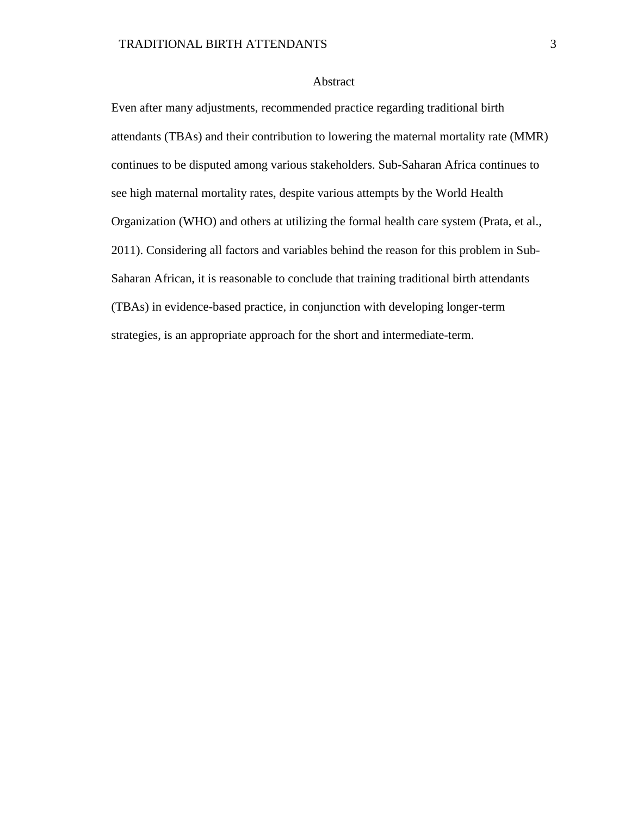# Abstract

Even after many adjustments, recommended practice regarding traditional birth attendants (TBAs) and their contribution to lowering the maternal mortality rate (MMR) continues to be disputed among various stakeholders. Sub-Saharan Africa continues to see high maternal mortality rates, despite various attempts by the World Health Organization (WHO) and others at utilizing the formal health care system (Prata, et al., 2011). Considering all factors and variables behind the reason for this problem in Sub-Saharan African, it is reasonable to conclude that training traditional birth attendants (TBAs) in evidence-based practice, in conjunction with developing longer-term strategies, is an appropriate approach for the short and intermediate-term.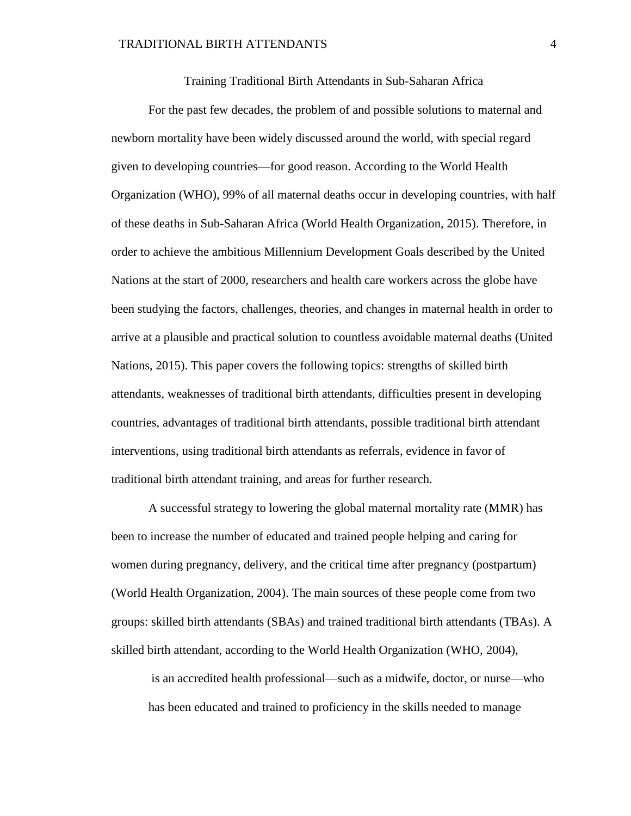Training Traditional Birth Attendants in Sub-Saharan Africa

For the past few decades, the problem of and possible solutions to maternal and newborn mortality have been widely discussed around the world, with special regard given to developing countries—for good reason. According to the World Health Organization (WHO), 99% of all maternal deaths occur in developing countries, with half of these deaths in Sub-Saharan Africa (World Health Organization, 2015). Therefore, in order to achieve the ambitious Millennium Development Goals described by the United Nations at the start of 2000, researchers and health care workers across the globe have been studying the factors, challenges, theories, and changes in maternal health in order to arrive at a plausible and practical solution to countless avoidable maternal deaths (United Nations, 2015). This paper covers the following topics: strengths of skilled birth attendants, weaknesses of traditional birth attendants, difficulties present in developing countries, advantages of traditional birth attendants, possible traditional birth attendant interventions, using traditional birth attendants as referrals, evidence in favor of traditional birth attendant training, and areas for further research.

A successful strategy to lowering the global maternal mortality rate (MMR) has been to increase the number of educated and trained people helping and caring for women during pregnancy, delivery, and the critical time after pregnancy (postpartum) (World Health Organization, 2004). The main sources of these people come from two groups: skilled birth attendants (SBAs) and trained traditional birth attendants (TBAs). A skilled birth attendant, according to the World Health Organization (WHO, 2004),

is an accredited health professional—such as a midwife, doctor, or nurse—who has been educated and trained to proficiency in the skills needed to manage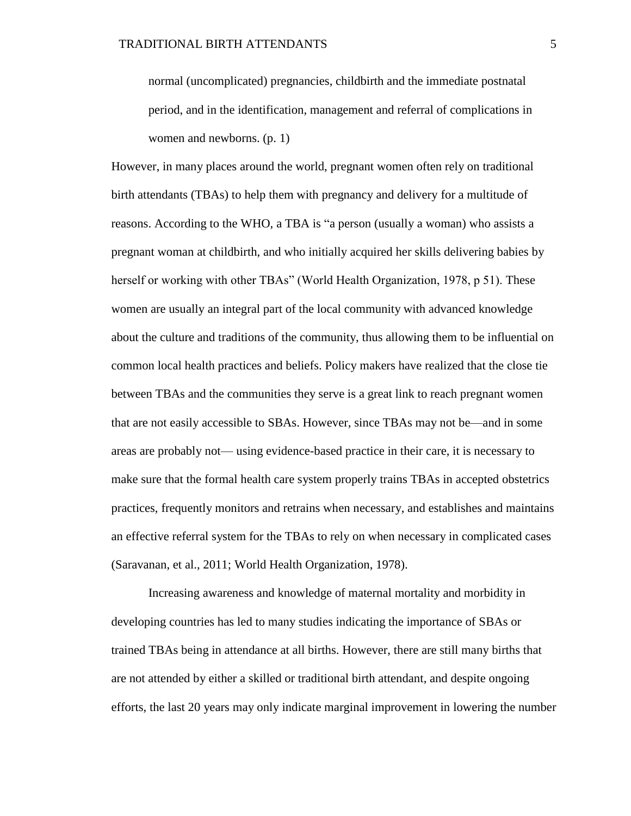normal (uncomplicated) pregnancies, childbirth and the immediate postnatal period, and in the identification, management and referral of complications in women and newborns. (p. 1)

However, in many places around the world, pregnant women often rely on traditional birth attendants (TBAs) to help them with pregnancy and delivery for a multitude of reasons. According to the WHO, a TBA is "a person (usually a woman) who assists a pregnant woman at childbirth, and who initially acquired her skills delivering babies by herself or working with other TBAs" (World Health Organization, 1978, p 51). These women are usually an integral part of the local community with advanced knowledge about the culture and traditions of the community, thus allowing them to be influential on common local health practices and beliefs. Policy makers have realized that the close tie between TBAs and the communities they serve is a great link to reach pregnant women that are not easily accessible to SBAs. However, since TBAs may not be—and in some areas are probably not— using evidence-based practice in their care, it is necessary to make sure that the formal health care system properly trains TBAs in accepted obstetrics practices, frequently monitors and retrains when necessary, and establishes and maintains an effective referral system for the TBAs to rely on when necessary in complicated cases (Saravanan, et al., 2011; World Health Organization, 1978).

Increasing awareness and knowledge of maternal mortality and morbidity in developing countries has led to many studies indicating the importance of SBAs or trained TBAs being in attendance at all births. However, there are still many births that are not attended by either a skilled or traditional birth attendant, and despite ongoing efforts, the last 20 years may only indicate marginal improvement in lowering the number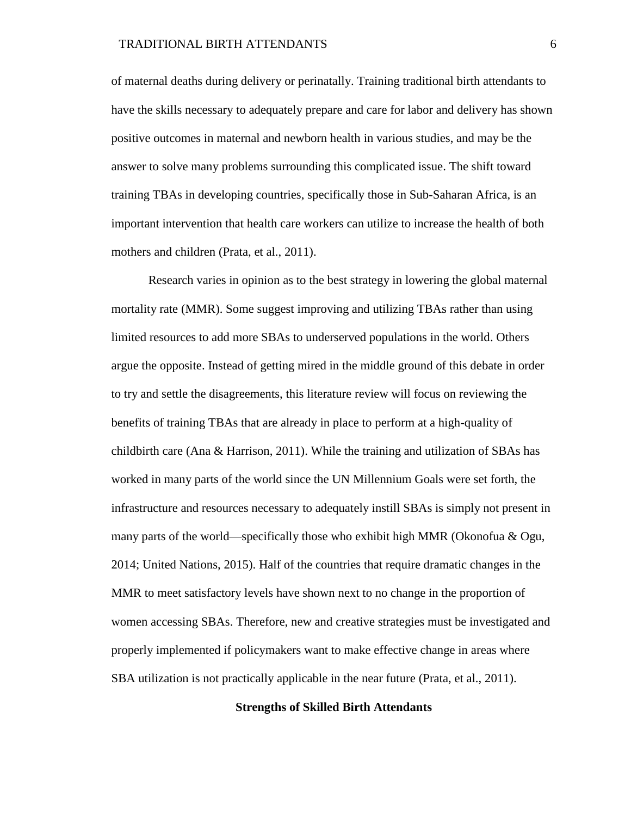of maternal deaths during delivery or perinatally. Training traditional birth attendants to have the skills necessary to adequately prepare and care for labor and delivery has shown positive outcomes in maternal and newborn health in various studies, and may be the answer to solve many problems surrounding this complicated issue. The shift toward training TBAs in developing countries, specifically those in Sub-Saharan Africa, is an important intervention that health care workers can utilize to increase the health of both mothers and children (Prata, et al., 2011).

Research varies in opinion as to the best strategy in lowering the global maternal mortality rate (MMR). Some suggest improving and utilizing TBAs rather than using limited resources to add more SBAs to underserved populations in the world. Others argue the opposite. Instead of getting mired in the middle ground of this debate in order to try and settle the disagreements, this literature review will focus on reviewing the benefits of training TBAs that are already in place to perform at a high-quality of childbirth care (Ana & Harrison, 2011). While the training and utilization of SBAs has worked in many parts of the world since the UN Millennium Goals were set forth, the infrastructure and resources necessary to adequately instill SBAs is simply not present in many parts of the world—specifically those who exhibit high MMR (Okonofua  $\&$  Ogu, 2014; United Nations, 2015). Half of the countries that require dramatic changes in the MMR to meet satisfactory levels have shown next to no change in the proportion of women accessing SBAs. Therefore, new and creative strategies must be investigated and properly implemented if policymakers want to make effective change in areas where SBA utilization is not practically applicable in the near future (Prata, et al., 2011).

#### **Strengths of Skilled Birth Attendants**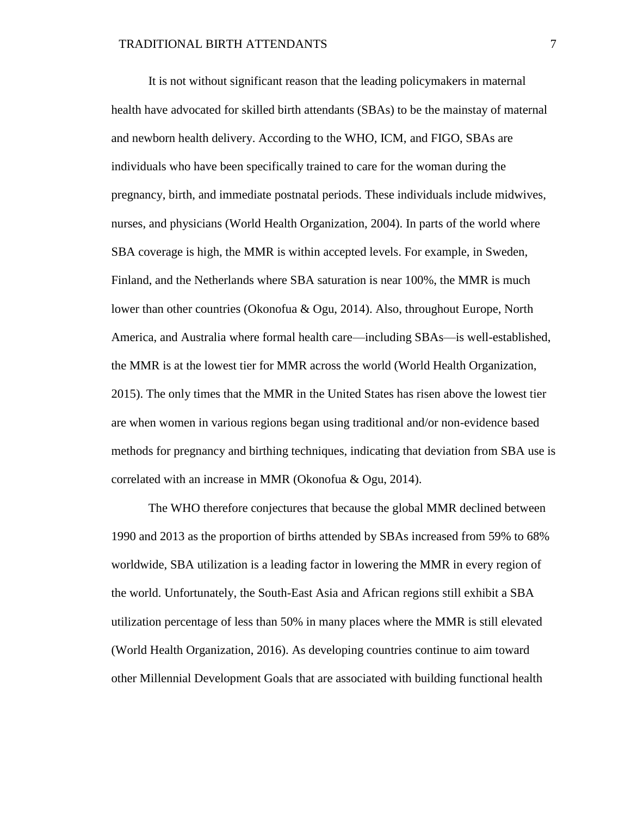It is not without significant reason that the leading policymakers in maternal health have advocated for skilled birth attendants (SBAs) to be the mainstay of maternal and newborn health delivery. According to the WHO, ICM, and FIGO, SBAs are individuals who have been specifically trained to care for the woman during the pregnancy, birth, and immediate postnatal periods. These individuals include midwives, nurses, and physicians (World Health Organization, 2004). In parts of the world where SBA coverage is high, the MMR is within accepted levels. For example, in Sweden, Finland, and the Netherlands where SBA saturation is near 100%, the MMR is much lower than other countries (Okonofua & Ogu, 2014). Also, throughout Europe, North America, and Australia where formal health care—including SBAs—is well-established, the MMR is at the lowest tier for MMR across the world (World Health Organization, 2015). The only times that the MMR in the United States has risen above the lowest tier are when women in various regions began using traditional and/or non-evidence based methods for pregnancy and birthing techniques, indicating that deviation from SBA use is correlated with an increase in MMR (Okonofua & Ogu, 2014).

The WHO therefore conjectures that because the global MMR declined between 1990 and 2013 as the proportion of births attended by SBAs increased from 59% to 68% worldwide, SBA utilization is a leading factor in lowering the MMR in every region of the world. Unfortunately, the South-East Asia and African regions still exhibit a SBA utilization percentage of less than 50% in many places where the MMR is still elevated (World Health Organization, 2016). As developing countries continue to aim toward other Millennial Development Goals that are associated with building functional health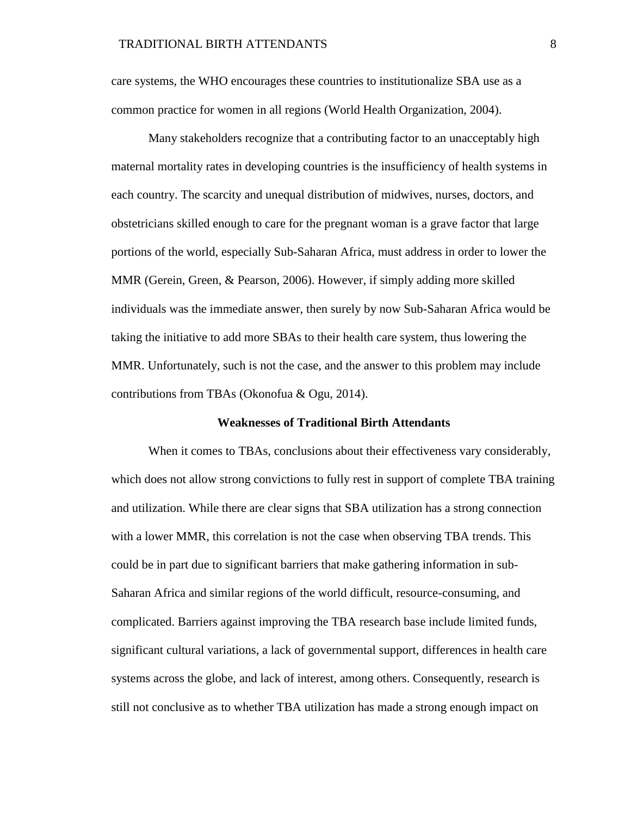care systems, the WHO encourages these countries to institutionalize SBA use as a common practice for women in all regions (World Health Organization, 2004).

Many stakeholders recognize that a contributing factor to an unacceptably high maternal mortality rates in developing countries is the insufficiency of health systems in each country. The scarcity and unequal distribution of midwives, nurses, doctors, and obstetricians skilled enough to care for the pregnant woman is a grave factor that large portions of the world, especially Sub-Saharan Africa, must address in order to lower the MMR (Gerein, Green, & Pearson, 2006). However, if simply adding more skilled individuals was the immediate answer, then surely by now Sub-Saharan Africa would be taking the initiative to add more SBAs to their health care system, thus lowering the MMR. Unfortunately, such is not the case, and the answer to this problem may include contributions from TBAs (Okonofua & Ogu, 2014).

#### **Weaknesses of Traditional Birth Attendants**

When it comes to TBAs, conclusions about their effectiveness vary considerably, which does not allow strong convictions to fully rest in support of complete TBA training and utilization. While there are clear signs that SBA utilization has a strong connection with a lower MMR, this correlation is not the case when observing TBA trends. This could be in part due to significant barriers that make gathering information in sub-Saharan Africa and similar regions of the world difficult, resource-consuming, and complicated. Barriers against improving the TBA research base include limited funds, significant cultural variations, a lack of governmental support, differences in health care systems across the globe, and lack of interest, among others. Consequently, research is still not conclusive as to whether TBA utilization has made a strong enough impact on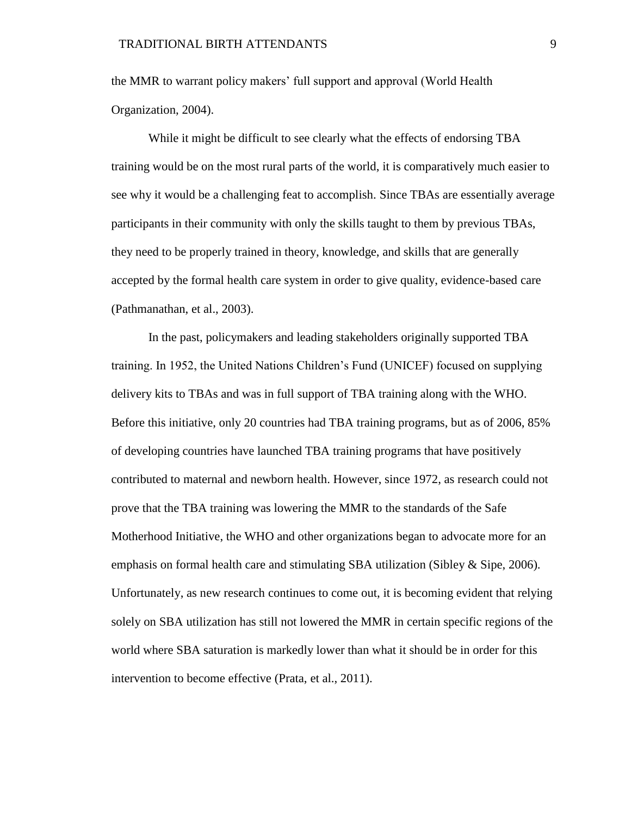the MMR to warrant policy makers' full support and approval (World Health Organization, 2004).

While it might be difficult to see clearly what the effects of endorsing TBA training would be on the most rural parts of the world, it is comparatively much easier to see why it would be a challenging feat to accomplish. Since TBAs are essentially average participants in their community with only the skills taught to them by previous TBAs, they need to be properly trained in theory, knowledge, and skills that are generally accepted by the formal health care system in order to give quality, evidence-based care (Pathmanathan, et al., 2003).

In the past, policymakers and leading stakeholders originally supported TBA training. In 1952, the United Nations Children's Fund (UNICEF) focused on supplying delivery kits to TBAs and was in full support of TBA training along with the WHO. Before this initiative, only 20 countries had TBA training programs, but as of 2006, 85% of developing countries have launched TBA training programs that have positively contributed to maternal and newborn health. However, since 1972, as research could not prove that the TBA training was lowering the MMR to the standards of the Safe Motherhood Initiative, the WHO and other organizations began to advocate more for an emphasis on formal health care and stimulating SBA utilization (Sibley & Sipe, 2006). Unfortunately, as new research continues to come out, it is becoming evident that relying solely on SBA utilization has still not lowered the MMR in certain specific regions of the world where SBA saturation is markedly lower than what it should be in order for this intervention to become effective (Prata, et al., 2011).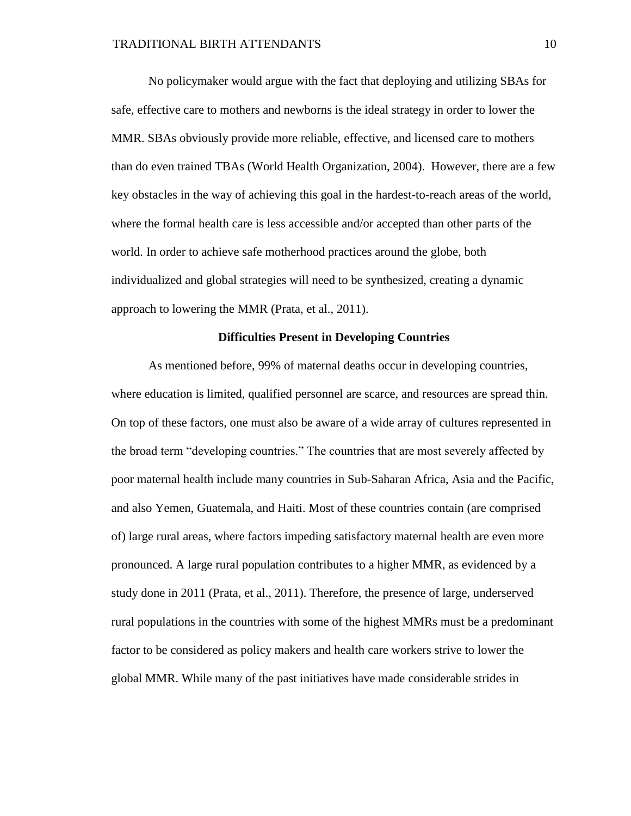No policymaker would argue with the fact that deploying and utilizing SBAs for safe, effective care to mothers and newborns is the ideal strategy in order to lower the MMR. SBAs obviously provide more reliable, effective, and licensed care to mothers than do even trained TBAs (World Health Organization, 2004). However, there are a few key obstacles in the way of achieving this goal in the hardest-to-reach areas of the world, where the formal health care is less accessible and/or accepted than other parts of the world. In order to achieve safe motherhood practices around the globe, both individualized and global strategies will need to be synthesized, creating a dynamic approach to lowering the MMR (Prata, et al., 2011).

# **Difficulties Present in Developing Countries**

As mentioned before, 99% of maternal deaths occur in developing countries, where education is limited, qualified personnel are scarce, and resources are spread thin. On top of these factors, one must also be aware of a wide array of cultures represented in the broad term "developing countries." The countries that are most severely affected by poor maternal health include many countries in Sub-Saharan Africa, Asia and the Pacific, and also Yemen, Guatemala, and Haiti. Most of these countries contain (are comprised of) large rural areas, where factors impeding satisfactory maternal health are even more pronounced. A large rural population contributes to a higher MMR, as evidenced by a study done in 2011 (Prata, et al., 2011). Therefore, the presence of large, underserved rural populations in the countries with some of the highest MMRs must be a predominant factor to be considered as policy makers and health care workers strive to lower the global MMR. While many of the past initiatives have made considerable strides in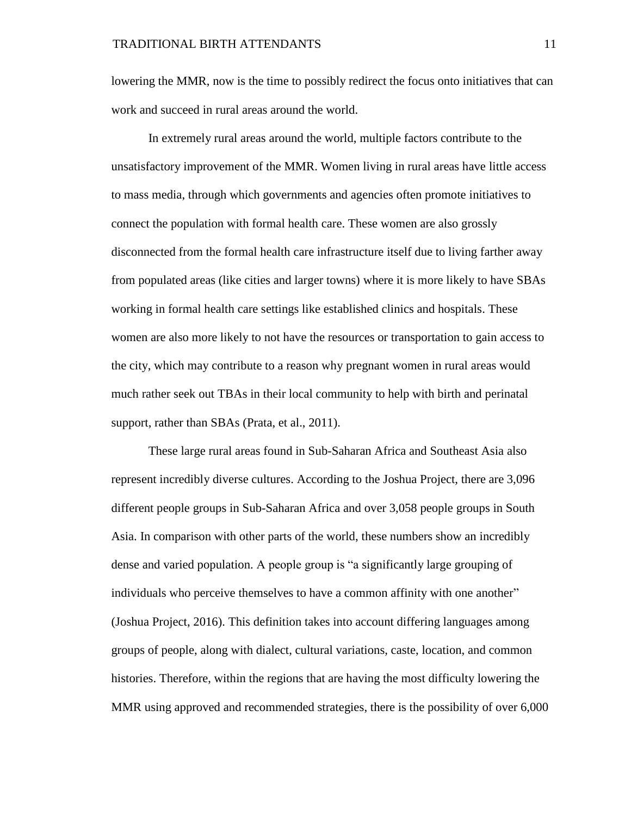lowering the MMR, now is the time to possibly redirect the focus onto initiatives that can work and succeed in rural areas around the world.

In extremely rural areas around the world, multiple factors contribute to the unsatisfactory improvement of the MMR. Women living in rural areas have little access to mass media, through which governments and agencies often promote initiatives to connect the population with formal health care. These women are also grossly disconnected from the formal health care infrastructure itself due to living farther away from populated areas (like cities and larger towns) where it is more likely to have SBAs working in formal health care settings like established clinics and hospitals. These women are also more likely to not have the resources or transportation to gain access to the city, which may contribute to a reason why pregnant women in rural areas would much rather seek out TBAs in their local community to help with birth and perinatal support, rather than SBAs (Prata, et al., 2011).

These large rural areas found in Sub-Saharan Africa and Southeast Asia also represent incredibly diverse cultures. According to the Joshua Project, there are 3,096 different people groups in Sub-Saharan Africa and over 3,058 people groups in South Asia. In comparison with other parts of the world, these numbers show an incredibly dense and varied population. A people group is "a significantly large grouping of individuals who perceive themselves to have a common affinity with one another" (Joshua Project, 2016). This definition takes into account differing languages among groups of people, along with dialect, cultural variations, caste, location, and common histories. Therefore, within the regions that are having the most difficulty lowering the MMR using approved and recommended strategies, there is the possibility of over 6,000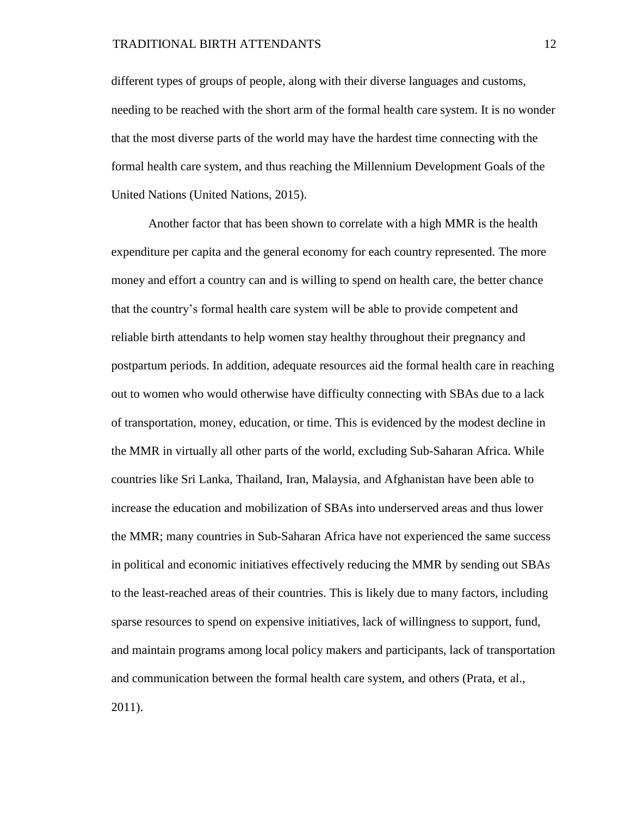different types of groups of people, along with their diverse languages and customs, needing to be reached with the short arm of the formal health care system. It is no wonder that the most diverse parts of the world may have the hardest time connecting with the formal health care system, and thus reaching the Millennium Development Goals of the United Nations (United Nations, 2015).

Another factor that has been shown to correlate with a high MMR is the health expenditure per capita and the general economy for each country represented. The more money and effort a country can and is willing to spend on health care, the better chance that the country's formal health care system will be able to provide competent and reliable birth attendants to help women stay healthy throughout their pregnancy and postpartum periods. In addition, adequate resources aid the formal health care in reaching out to women who would otherwise have difficulty connecting with SBAs due to a lack of transportation, money, education, or time. This is evidenced by the modest decline in the MMR in virtually all other parts of the world, excluding Sub-Saharan Africa. While countries like Sri Lanka, Thailand, Iran, Malaysia, and Afghanistan have been able to increase the education and mobilization of SBAs into underserved areas and thus lower the MMR; many countries in Sub-Saharan Africa have not experienced the same success in political and economic initiatives effectively reducing the MMR by sending out SBAs to the least-reached areas of their countries. This is likely due to many factors, including sparse resources to spend on expensive initiatives, lack of willingness to support, fund, and maintain programs among local policy makers and participants, lack of transportation and communication between the formal health care system, and others (Prata, et al., 2011).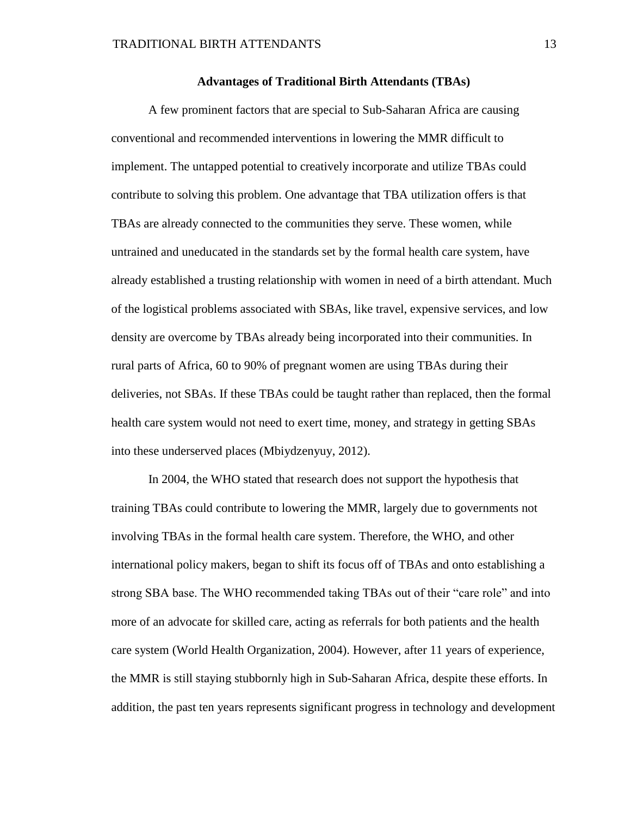## **Advantages of Traditional Birth Attendants (TBAs)**

A few prominent factors that are special to Sub-Saharan Africa are causing conventional and recommended interventions in lowering the MMR difficult to implement. The untapped potential to creatively incorporate and utilize TBAs could contribute to solving this problem. One advantage that TBA utilization offers is that TBAs are already connected to the communities they serve. These women, while untrained and uneducated in the standards set by the formal health care system, have already established a trusting relationship with women in need of a birth attendant. Much of the logistical problems associated with SBAs, like travel, expensive services, and low density are overcome by TBAs already being incorporated into their communities. In rural parts of Africa, 60 to 90% of pregnant women are using TBAs during their deliveries, not SBAs. If these TBAs could be taught rather than replaced, then the formal health care system would not need to exert time, money, and strategy in getting SBAs into these underserved places (Mbiydzenyuy, 2012).

In 2004, the WHO stated that research does not support the hypothesis that training TBAs could contribute to lowering the MMR, largely due to governments not involving TBAs in the formal health care system. Therefore, the WHO, and other international policy makers, began to shift its focus off of TBAs and onto establishing a strong SBA base. The WHO recommended taking TBAs out of their "care role" and into more of an advocate for skilled care, acting as referrals for both patients and the health care system (World Health Organization, 2004). However, after 11 years of experience, the MMR is still staying stubbornly high in Sub-Saharan Africa, despite these efforts. In addition, the past ten years represents significant progress in technology and development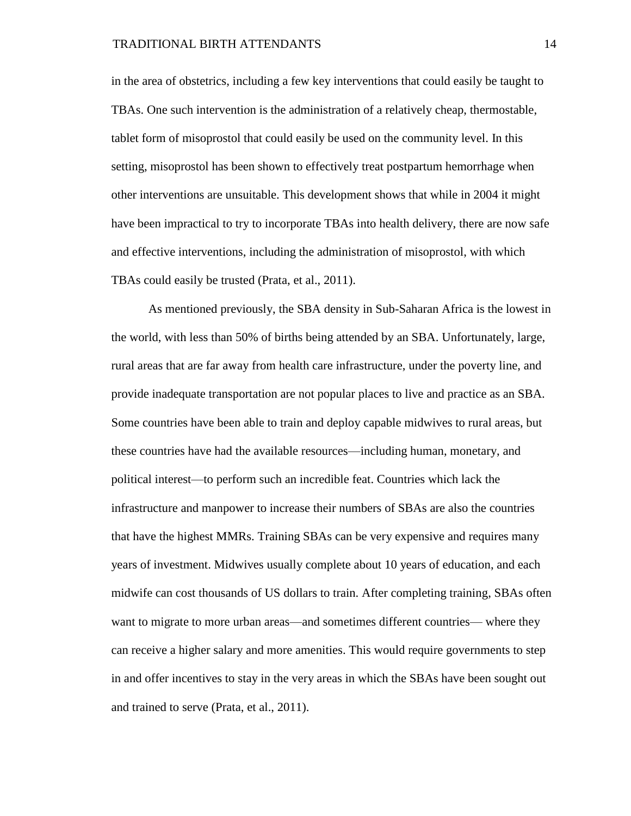in the area of obstetrics, including a few key interventions that could easily be taught to TBAs. One such intervention is the administration of a relatively cheap, thermostable, tablet form of misoprostol that could easily be used on the community level. In this setting, misoprostol has been shown to effectively treat postpartum hemorrhage when other interventions are unsuitable. This development shows that while in 2004 it might have been impractical to try to incorporate TBAs into health delivery, there are now safe and effective interventions, including the administration of misoprostol, with which TBAs could easily be trusted (Prata, et al., 2011).

As mentioned previously, the SBA density in Sub-Saharan Africa is the lowest in the world, with less than 50% of births being attended by an SBA. Unfortunately, large, rural areas that are far away from health care infrastructure, under the poverty line, and provide inadequate transportation are not popular places to live and practice as an SBA. Some countries have been able to train and deploy capable midwives to rural areas, but these countries have had the available resources—including human, monetary, and political interest—to perform such an incredible feat. Countries which lack the infrastructure and manpower to increase their numbers of SBAs are also the countries that have the highest MMRs. Training SBAs can be very expensive and requires many years of investment. Midwives usually complete about 10 years of education, and each midwife can cost thousands of US dollars to train. After completing training, SBAs often want to migrate to more urban areas—and sometimes different countries— where they can receive a higher salary and more amenities. This would require governments to step in and offer incentives to stay in the very areas in which the SBAs have been sought out and trained to serve (Prata, et al., 2011).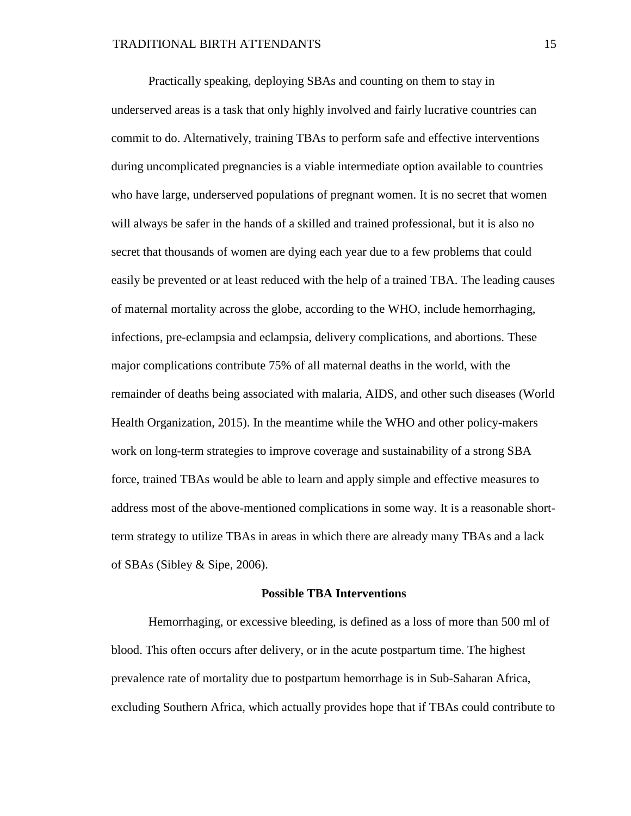Practically speaking, deploying SBAs and counting on them to stay in underserved areas is a task that only highly involved and fairly lucrative countries can commit to do. Alternatively, training TBAs to perform safe and effective interventions during uncomplicated pregnancies is a viable intermediate option available to countries who have large, underserved populations of pregnant women. It is no secret that women will always be safer in the hands of a skilled and trained professional, but it is also no secret that thousands of women are dying each year due to a few problems that could easily be prevented or at least reduced with the help of a trained TBA. The leading causes of maternal mortality across the globe, according to the WHO, include hemorrhaging, infections, pre-eclampsia and eclampsia, delivery complications, and abortions. These major complications contribute 75% of all maternal deaths in the world, with the remainder of deaths being associated with malaria, AIDS, and other such diseases (World Health Organization, 2015). In the meantime while the WHO and other policy-makers work on long-term strategies to improve coverage and sustainability of a strong SBA force, trained TBAs would be able to learn and apply simple and effective measures to address most of the above-mentioned complications in some way. It is a reasonable shortterm strategy to utilize TBAs in areas in which there are already many TBAs and a lack of SBAs (Sibley & Sipe, 2006).

#### **Possible TBA Interventions**

Hemorrhaging, or excessive bleeding, is defined as a loss of more than 500 ml of blood. This often occurs after delivery, or in the acute postpartum time. The highest prevalence rate of mortality due to postpartum hemorrhage is in Sub-Saharan Africa, excluding Southern Africa, which actually provides hope that if TBAs could contribute to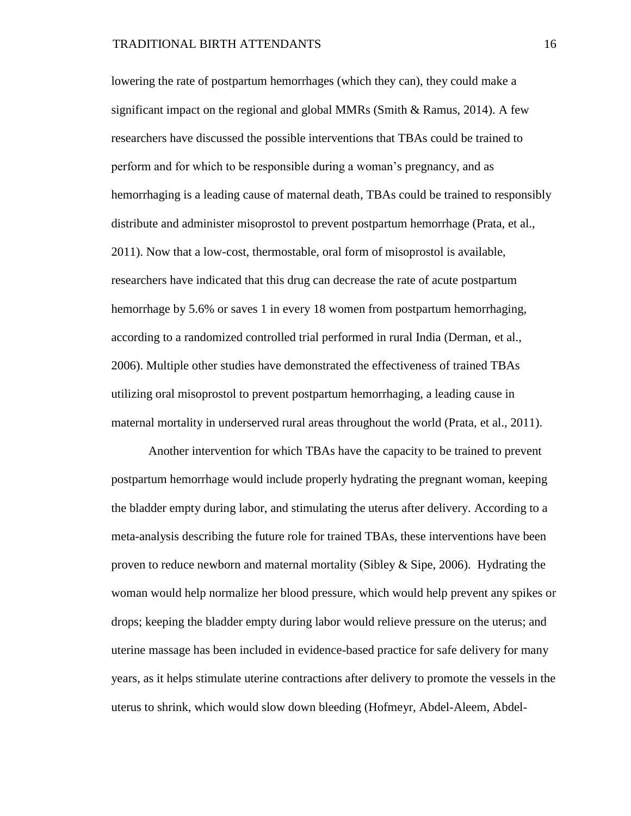lowering the rate of postpartum hemorrhages (which they can), they could make a significant impact on the regional and global MMRs (Smith & Ramus, 2014). A few researchers have discussed the possible interventions that TBAs could be trained to perform and for which to be responsible during a woman's pregnancy, and as hemorrhaging is a leading cause of maternal death, TBAs could be trained to responsibly distribute and administer misoprostol to prevent postpartum hemorrhage (Prata, et al., 2011). Now that a low-cost, thermostable, oral form of misoprostol is available, researchers have indicated that this drug can decrease the rate of acute postpartum hemorrhage by 5.6% or saves 1 in every 18 women from postpartum hemorrhaging, according to a randomized controlled trial performed in rural India (Derman, et al., 2006). Multiple other studies have demonstrated the effectiveness of trained TBAs utilizing oral misoprostol to prevent postpartum hemorrhaging, a leading cause in maternal mortality in underserved rural areas throughout the world (Prata, et al., 2011).

Another intervention for which TBAs have the capacity to be trained to prevent postpartum hemorrhage would include properly hydrating the pregnant woman, keeping the bladder empty during labor, and stimulating the uterus after delivery. According to a meta-analysis describing the future role for trained TBAs, these interventions have been proven to reduce newborn and maternal mortality (Sibley & Sipe, 2006). Hydrating the woman would help normalize her blood pressure, which would help prevent any spikes or drops; keeping the bladder empty during labor would relieve pressure on the uterus; and uterine massage has been included in evidence-based practice for safe delivery for many years, as it helps stimulate uterine contractions after delivery to promote the vessels in the uterus to shrink, which would slow down bleeding (Hofmeyr, Abdel-Aleem, Abdel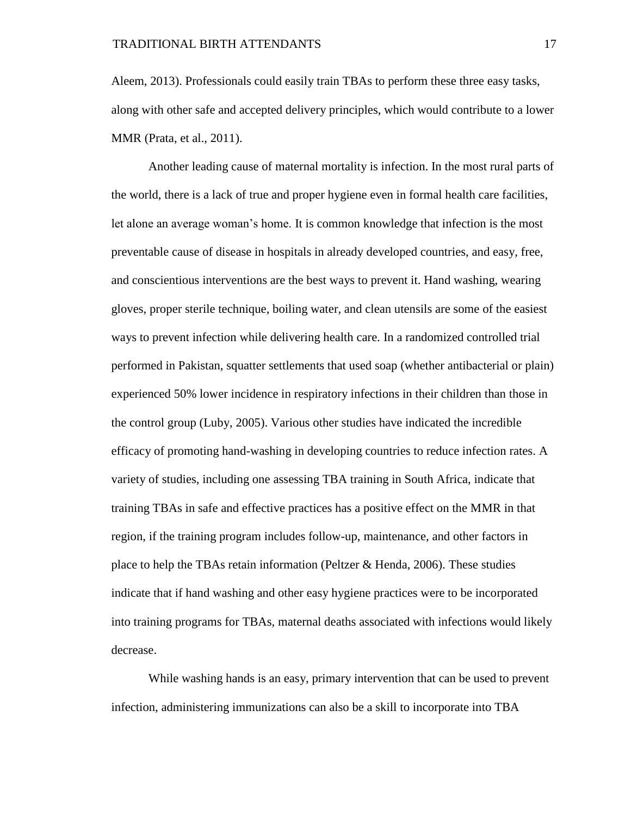Aleem, 2013). Professionals could easily train TBAs to perform these three easy tasks, along with other safe and accepted delivery principles, which would contribute to a lower MMR (Prata, et al., 2011).

Another leading cause of maternal mortality is infection. In the most rural parts of the world, there is a lack of true and proper hygiene even in formal health care facilities, let alone an average woman's home. It is common knowledge that infection is the most preventable cause of disease in hospitals in already developed countries, and easy, free, and conscientious interventions are the best ways to prevent it. Hand washing, wearing gloves, proper sterile technique, boiling water, and clean utensils are some of the easiest ways to prevent infection while delivering health care. In a randomized controlled trial performed in Pakistan, squatter settlements that used soap (whether antibacterial or plain) experienced 50% lower incidence in respiratory infections in their children than those in the control group (Luby, 2005). Various other studies have indicated the incredible efficacy of promoting hand-washing in developing countries to reduce infection rates. A variety of studies, including one assessing TBA training in South Africa, indicate that training TBAs in safe and effective practices has a positive effect on the MMR in that region, if the training program includes follow-up, maintenance, and other factors in place to help the TBAs retain information (Peltzer & Henda, 2006). These studies indicate that if hand washing and other easy hygiene practices were to be incorporated into training programs for TBAs, maternal deaths associated with infections would likely decrease.

While washing hands is an easy, primary intervention that can be used to prevent infection, administering immunizations can also be a skill to incorporate into TBA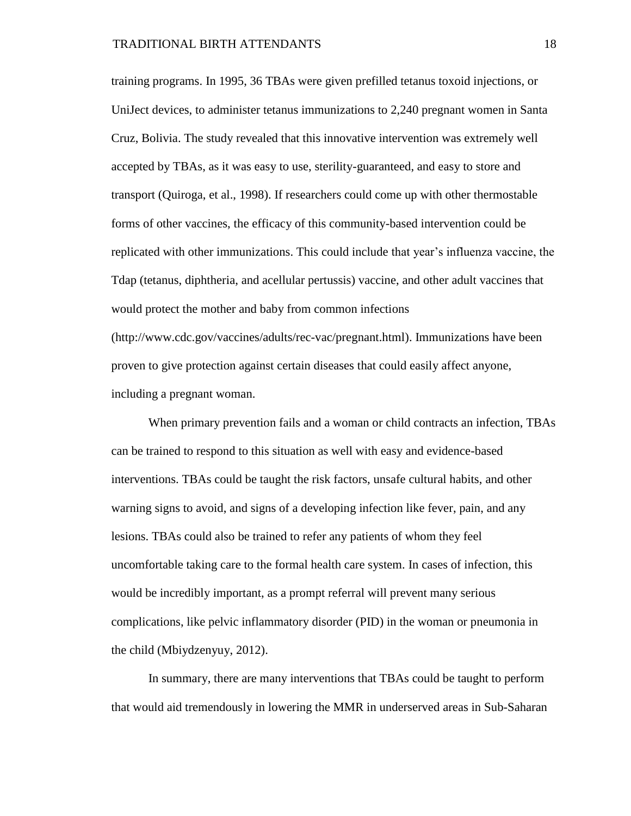training programs. In 1995, 36 TBAs were given prefilled tetanus toxoid injections, or UniJect devices, to administer tetanus immunizations to 2,240 pregnant women in Santa Cruz, Bolivia. The study revealed that this innovative intervention was extremely well accepted by TBAs, as it was easy to use, sterility-guaranteed, and easy to store and transport (Quiroga, et al., 1998). If researchers could come up with other thermostable forms of other vaccines, the efficacy of this community-based intervention could be replicated with other immunizations. This could include that year's influenza vaccine, the Tdap (tetanus, diphtheria, and acellular pertussis) vaccine, and other adult vaccines that would protect the mother and baby from common infections [\(http://www.cdc.gov/vaccines/adults/rec-vac/pregnant.html\)](http://www.cdc.gov/vaccines/adults/rec-vac/pregnant.html). Immunizations have been

proven to give protection against certain diseases that could easily affect anyone, including a pregnant woman.

When primary prevention fails and a woman or child contracts an infection, TBAs can be trained to respond to this situation as well with easy and evidence-based interventions. TBAs could be taught the risk factors, unsafe cultural habits, and other warning signs to avoid, and signs of a developing infection like fever, pain, and any lesions. TBAs could also be trained to refer any patients of whom they feel uncomfortable taking care to the formal health care system. In cases of infection, this would be incredibly important, as a prompt referral will prevent many serious complications, like pelvic inflammatory disorder (PID) in the woman or pneumonia in the child (Mbiydzenyuy, 2012).

In summary, there are many interventions that TBAs could be taught to perform that would aid tremendously in lowering the MMR in underserved areas in Sub-Saharan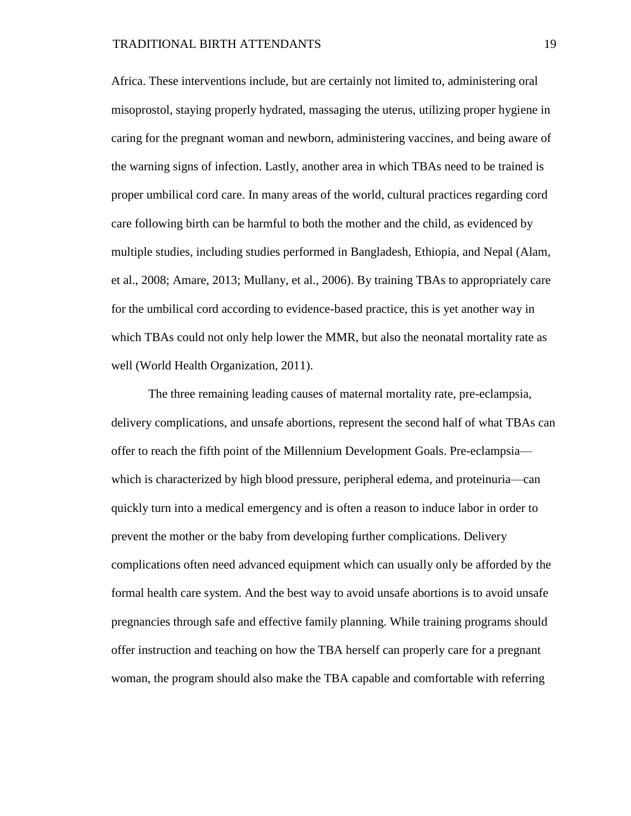Africa. These interventions include, but are certainly not limited to, administering oral misoprostol, staying properly hydrated, massaging the uterus, utilizing proper hygiene in caring for the pregnant woman and newborn, administering vaccines, and being aware of the warning signs of infection. Lastly, another area in which TBAs need to be trained is proper umbilical cord care. In many areas of the world, cultural practices regarding cord care following birth can be harmful to both the mother and the child, as evidenced by multiple studies, including studies performed in Bangladesh, Ethiopia, and Nepal (Alam, et al., 2008; Amare, 2013; Mullany, et al., 2006). By training TBAs to appropriately care for the umbilical cord according to evidence-based practice, this is yet another way in which TBAs could not only help lower the MMR, but also the neonatal mortality rate as well (World Health Organization, 2011).

The three remaining leading causes of maternal mortality rate, pre-eclampsia, delivery complications, and unsafe abortions, represent the second half of what TBAs can offer to reach the fifth point of the Millennium Development Goals. Pre-eclampsia which is characterized by high blood pressure, peripheral edema, and proteinuria—can quickly turn into a medical emergency and is often a reason to induce labor in order to prevent the mother or the baby from developing further complications. Delivery complications often need advanced equipment which can usually only be afforded by the formal health care system. And the best way to avoid unsafe abortions is to avoid unsafe pregnancies through safe and effective family planning. While training programs should offer instruction and teaching on how the TBA herself can properly care for a pregnant woman, the program should also make the TBA capable and comfortable with referring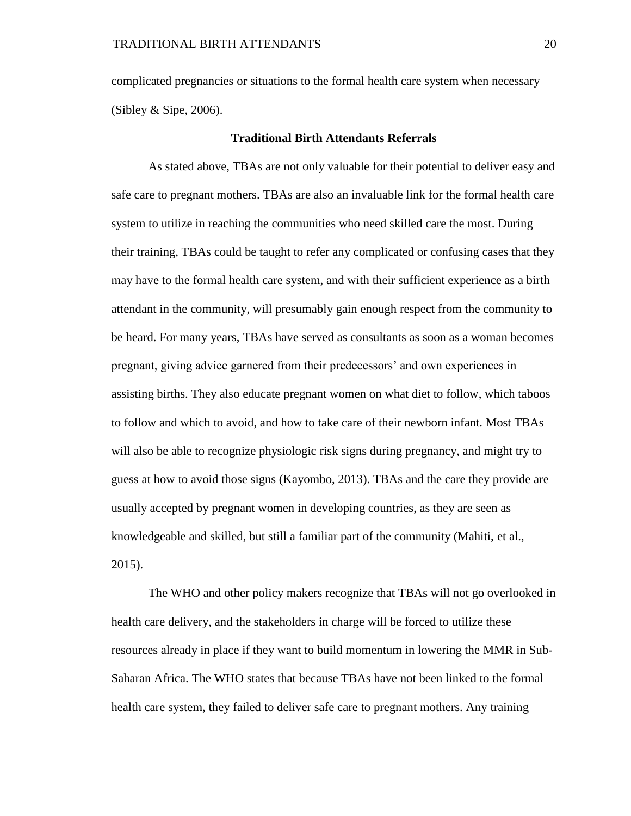complicated pregnancies or situations to the formal health care system when necessary (Sibley  $&$  Sipe, 2006).

### **Traditional Birth Attendants Referrals**

As stated above, TBAs are not only valuable for their potential to deliver easy and safe care to pregnant mothers. TBAs are also an invaluable link for the formal health care system to utilize in reaching the communities who need skilled care the most. During their training, TBAs could be taught to refer any complicated or confusing cases that they may have to the formal health care system, and with their sufficient experience as a birth attendant in the community, will presumably gain enough respect from the community to be heard. For many years, TBAs have served as consultants as soon as a woman becomes pregnant, giving advice garnered from their predecessors' and own experiences in assisting births. They also educate pregnant women on what diet to follow, which taboos to follow and which to avoid, and how to take care of their newborn infant. Most TBAs will also be able to recognize physiologic risk signs during pregnancy, and might try to guess at how to avoid those signs (Kayombo, 2013). TBAs and the care they provide are usually accepted by pregnant women in developing countries, as they are seen as knowledgeable and skilled, but still a familiar part of the community (Mahiti, et al., 2015).

The WHO and other policy makers recognize that TBAs will not go overlooked in health care delivery, and the stakeholders in charge will be forced to utilize these resources already in place if they want to build momentum in lowering the MMR in Sub-Saharan Africa. The WHO states that because TBAs have not been linked to the formal health care system, they failed to deliver safe care to pregnant mothers. Any training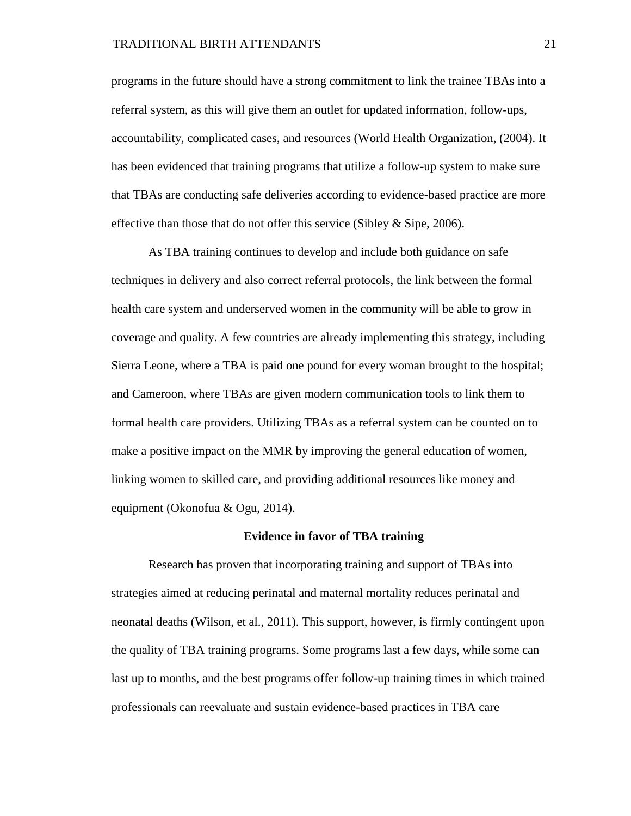programs in the future should have a strong commitment to link the trainee TBAs into a referral system, as this will give them an outlet for updated information, follow-ups, accountability, complicated cases, and resources (World Health Organization, (2004). It has been evidenced that training programs that utilize a follow-up system to make sure that TBAs are conducting safe deliveries according to evidence-based practice are more effective than those that do not offer this service (Sibley  $&$  Sipe, 2006).

As TBA training continues to develop and include both guidance on safe techniques in delivery and also correct referral protocols, the link between the formal health care system and underserved women in the community will be able to grow in coverage and quality. A few countries are already implementing this strategy, including Sierra Leone, where a TBA is paid one pound for every woman brought to the hospital; and Cameroon, where TBAs are given modern communication tools to link them to formal health care providers. Utilizing TBAs as a referral system can be counted on to make a positive impact on the MMR by improving the general education of women, linking women to skilled care, and providing additional resources like money and equipment (Okonofua & Ogu, 2014).

### **Evidence in favor of TBA training**

Research has proven that incorporating training and support of TBAs into strategies aimed at reducing perinatal and maternal mortality reduces perinatal and neonatal deaths (Wilson, et al., 2011). This support, however, is firmly contingent upon the quality of TBA training programs. Some programs last a few days, while some can last up to months, and the best programs offer follow-up training times in which trained professionals can reevaluate and sustain evidence-based practices in TBA care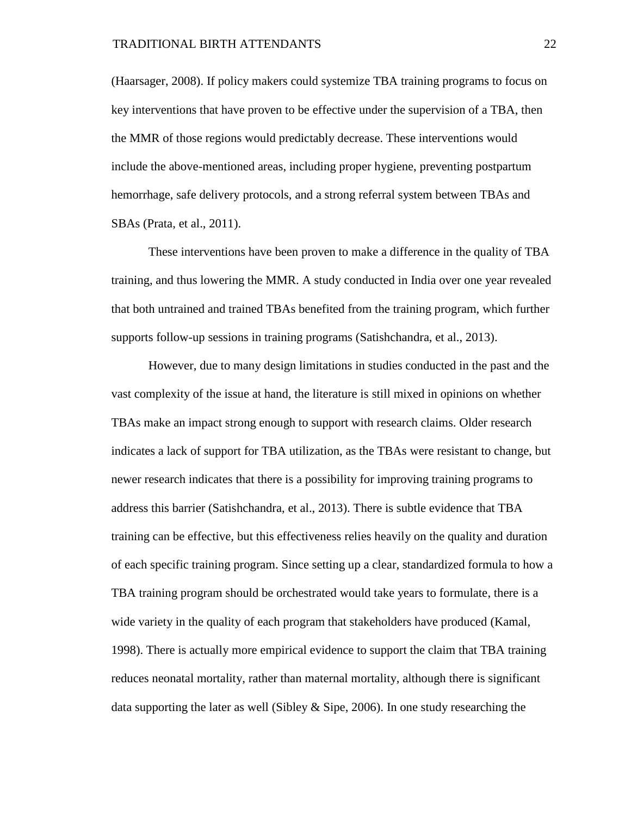(Haarsager, 2008). If policy makers could systemize TBA training programs to focus on key interventions that have proven to be effective under the supervision of a TBA, then the MMR of those regions would predictably decrease. These interventions would include the above-mentioned areas, including proper hygiene, preventing postpartum hemorrhage, safe delivery protocols, and a strong referral system between TBAs and SBAs (Prata, et al., 2011).

These interventions have been proven to make a difference in the quality of TBA training, and thus lowering the MMR. A study conducted in India over one year revealed that both untrained and trained TBAs benefited from the training program, which further supports follow-up sessions in training programs (Satishchandra, et al., 2013).

However, due to many design limitations in studies conducted in the past and the vast complexity of the issue at hand, the literature is still mixed in opinions on whether TBAs make an impact strong enough to support with research claims. Older research indicates a lack of support for TBA utilization, as the TBAs were resistant to change, but newer research indicates that there is a possibility for improving training programs to address this barrier (Satishchandra, et al., 2013). There is subtle evidence that TBA training can be effective, but this effectiveness relies heavily on the quality and duration of each specific training program. Since setting up a clear, standardized formula to how a TBA training program should be orchestrated would take years to formulate, there is a wide variety in the quality of each program that stakeholders have produced (Kamal, 1998). There is actually more empirical evidence to support the claim that TBA training reduces neonatal mortality, rather than maternal mortality, although there is significant data supporting the later as well (Sibley  $\&$  Sipe, 2006). In one study researching the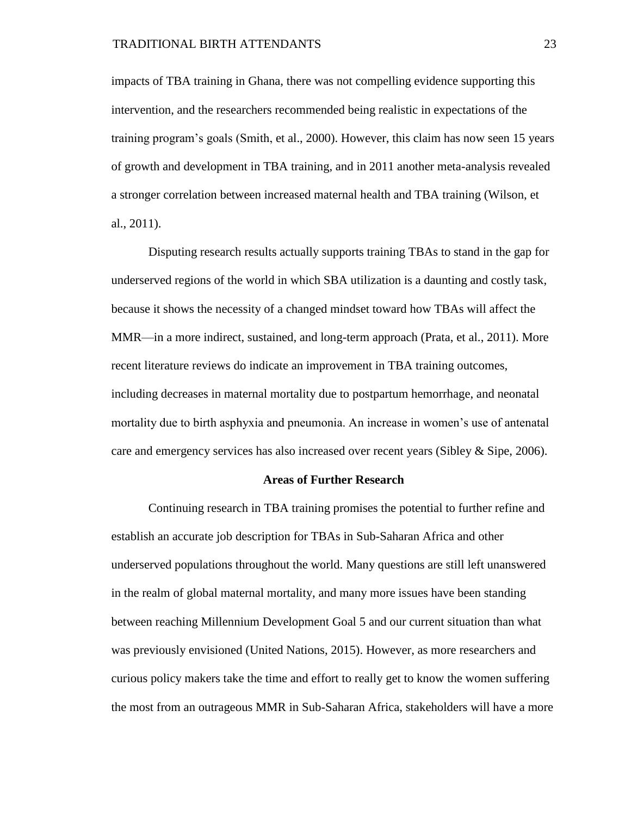impacts of TBA training in Ghana, there was not compelling evidence supporting this intervention, and the researchers recommended being realistic in expectations of the training program's goals (Smith, et al., 2000). However, this claim has now seen 15 years of growth and development in TBA training, and in 2011 another meta-analysis revealed a stronger correlation between increased maternal health and TBA training (Wilson, et al., 2011).

Disputing research results actually supports training TBAs to stand in the gap for underserved regions of the world in which SBA utilization is a daunting and costly task, because it shows the necessity of a changed mindset toward how TBAs will affect the MMR—in a more indirect, sustained, and long-term approach (Prata, et al., 2011). More recent literature reviews do indicate an improvement in TBA training outcomes, including decreases in maternal mortality due to postpartum hemorrhage, and neonatal mortality due to birth asphyxia and pneumonia. An increase in women's use of antenatal care and emergency services has also increased over recent years (Sibley & Sipe, 2006).

#### **Areas of Further Research**

Continuing research in TBA training promises the potential to further refine and establish an accurate job description for TBAs in Sub-Saharan Africa and other underserved populations throughout the world. Many questions are still left unanswered in the realm of global maternal mortality, and many more issues have been standing between reaching Millennium Development Goal 5 and our current situation than what was previously envisioned (United Nations, 2015). However, as more researchers and curious policy makers take the time and effort to really get to know the women suffering the most from an outrageous MMR in Sub-Saharan Africa, stakeholders will have a more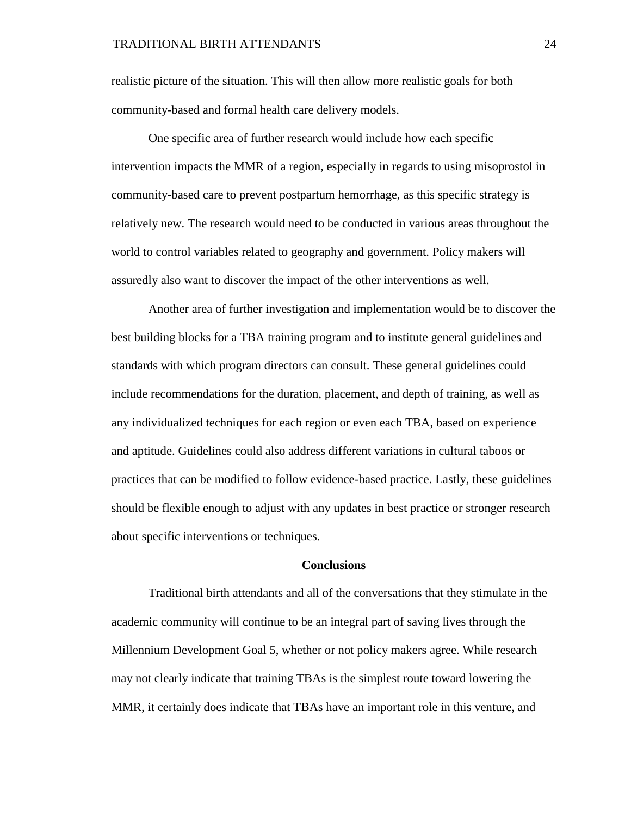realistic picture of the situation. This will then allow more realistic goals for both community-based and formal health care delivery models.

One specific area of further research would include how each specific intervention impacts the MMR of a region, especially in regards to using misoprostol in community-based care to prevent postpartum hemorrhage, as this specific strategy is relatively new. The research would need to be conducted in various areas throughout the world to control variables related to geography and government. Policy makers will assuredly also want to discover the impact of the other interventions as well.

Another area of further investigation and implementation would be to discover the best building blocks for a TBA training program and to institute general guidelines and standards with which program directors can consult. These general guidelines could include recommendations for the duration, placement, and depth of training, as well as any individualized techniques for each region or even each TBA, based on experience and aptitude. Guidelines could also address different variations in cultural taboos or practices that can be modified to follow evidence-based practice. Lastly, these guidelines should be flexible enough to adjust with any updates in best practice or stronger research about specific interventions or techniques.

## **Conclusions**

Traditional birth attendants and all of the conversations that they stimulate in the academic community will continue to be an integral part of saving lives through the Millennium Development Goal 5, whether or not policy makers agree. While research may not clearly indicate that training TBAs is the simplest route toward lowering the MMR, it certainly does indicate that TBAs have an important role in this venture, and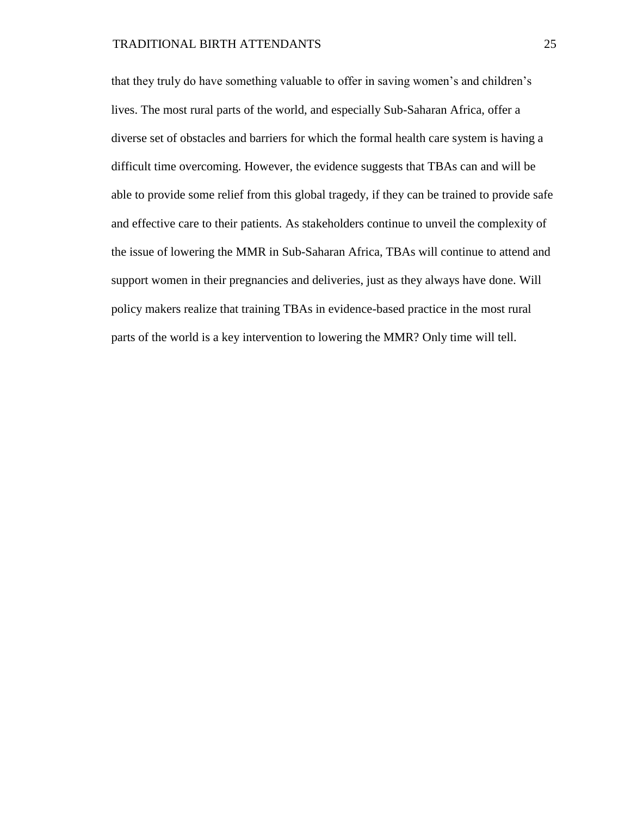that they truly do have something valuable to offer in saving women's and children's lives. The most rural parts of the world, and especially Sub-Saharan Africa, offer a diverse set of obstacles and barriers for which the formal health care system is having a difficult time overcoming. However, the evidence suggests that TBAs can and will be able to provide some relief from this global tragedy, if they can be trained to provide safe and effective care to their patients. As stakeholders continue to unveil the complexity of the issue of lowering the MMR in Sub-Saharan Africa, TBAs will continue to attend and support women in their pregnancies and deliveries, just as they always have done. Will policy makers realize that training TBAs in evidence-based practice in the most rural parts of the world is a key intervention to lowering the MMR? Only time will tell.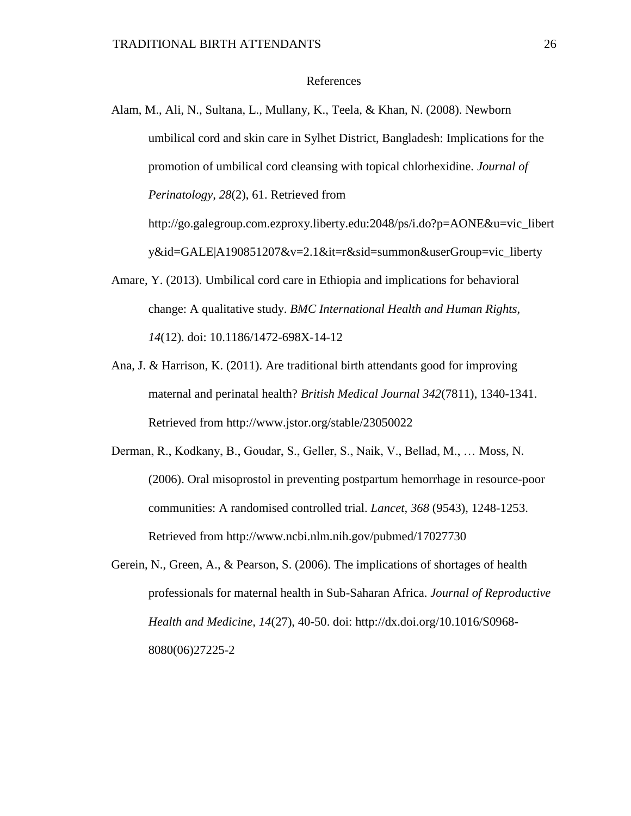# References

- Alam, M., Ali, N., Sultana, L., Mullany, K., Teela, & Khan, N. (2008). Newborn umbilical cord and skin care in Sylhet District, Bangladesh: Implications for the promotion of umbilical cord cleansing with topical chlorhexidine. *Journal of Perinatology, 28*(2), 61. Retrieved from http://go.galegroup.com.ezproxy.liberty.edu:2048/ps/i.do?p=AONE&u=vic\_libert y&id=GALE|A190851207&v=2.1&it=r&sid=summon&userGroup=vic\_liberty
- Amare, Y. (2013). Umbilical cord care in Ethiopia and implications for behavioral change: A qualitative study. *BMC International Health and Human Rights, 14*(12). doi: 10.1186/1472-698X-14-12
- Ana, J. & Harrison, K. (2011). Are traditional birth attendants good for improving maternal and perinatal health? *British Medical Journal 342*(7811), 1340-1341. Retrieved from http://www.jstor.org/stable/23050022
- Derman, R., Kodkany, B., Goudar, S., Geller, S., Naik, V., Bellad, M., … Moss, N. (2006). Oral misoprostol in preventing postpartum hemorrhage in resource-poor communities: A randomised controlled trial. *Lancet, 368* (9543), 1248-1253. Retrieved from http://www.ncbi.nlm.nih.gov/pubmed/17027730
- Gerein, N., Green, A., & Pearson, S. (2006). The implications of shortages of health professionals for maternal health in Sub-Saharan Africa. *Journal of Reproductive Health and Medicine, 14*(27), 40-50. doi: http://dx.doi.org/10.1016/S0968- 8080(06)27225-2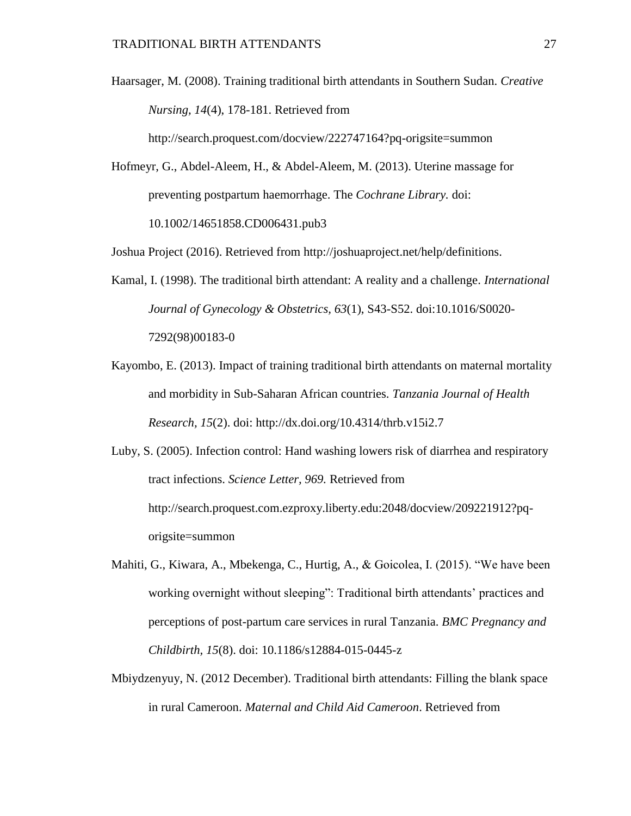Haarsager, M. (2008). Training traditional birth attendants in Southern Sudan. *Creative Nursing, 14*(4), 178-181. Retrieved from

http://search.proquest.com/docview/222747164?pq-origsite=summon

Hofmeyr, G., Abdel-Aleem, H., & Abdel-Aleem, M. (2013). Uterine massage for preventing postpartum haemorrhage. The *Cochrane Library.* doi: 10.1002/14651858.CD006431.pub3

Joshua Project (2016). Retrieved from [http://joshuaproject.net/help/definitions.](http://joshuaproject.net/help/definitions)

- Kamal, I. (1998). The traditional birth attendant: A reality and a challenge. *International Journal of Gynecology & Obstetrics, 63*(1), S43-S52. doi:10.1016/S0020- 7292(98)00183-0
- Kayombo, E. (2013). Impact of training traditional birth attendants on maternal mortality and morbidity in Sub-Saharan African countries. *Tanzania Journal of Health Research, 15*(2). doi: http://dx.doi.org/10.4314/thrb.v15i2.7

Luby, S. (2005). Infection control: Hand washing lowers risk of diarrhea and respiratory tract infections. *Science Letter, 969.* Retrieved from http://search.proquest.com.ezproxy.liberty.edu:2048/docview/209221912?pqorigsite=summon

- Mahiti, G., Kiwara, A., Mbekenga, C., Hurtig, A., & Goicolea, I. (2015). "We have been working overnight without sleeping": Traditional birth attendants' practices and perceptions of post-partum care services in rural Tanzania. *BMC Pregnancy and Childbirth, 15*(8). doi: 10.1186/s12884-015-0445-z
- Mbiydzenyuy, N. (2012 December). Traditional birth attendants: Filling the blank space in rural Cameroon. *Maternal and Child Aid Cameroon*. Retrieved from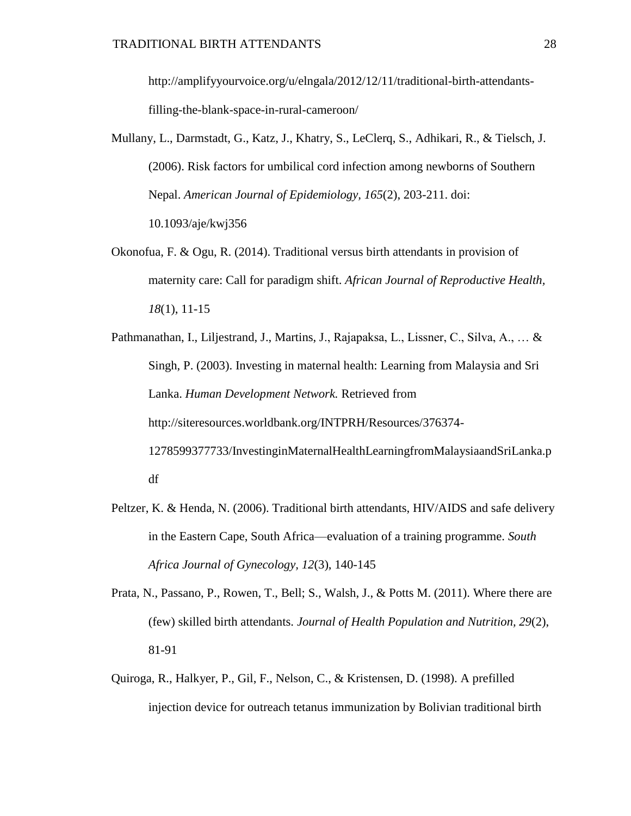http://amplifyyourvoice.org/u/elngala/2012/12/11/traditional-birth-attendantsfilling-the-blank-space-in-rural-cameroon/

- Mullany, L., Darmstadt, G., Katz, J., Khatry, S., LeClerq, S., Adhikari, R., & Tielsch, J. (2006). Risk factors for umbilical cord infection among newborns of Southern Nepal. *American Journal of Epidemiology, 165*(2), 203-211. doi: 10.1093/aje/kwj356
- Okonofua, F. & Ogu, R. (2014). Traditional versus birth attendants in provision of maternity care: Call for paradigm shift. *African Journal of Reproductive Health, 18*(1), 11-15
- Pathmanathan, I., Liljestrand, J., Martins, J., Rajapaksa, L., Lissner, C., Silva, A., … & Singh, P. (2003). Investing in maternal health: Learning from Malaysia and Sri Lanka. *Human Development Network.* Retrieved from http://siteresources.worldbank.org/INTPRH/Resources/376374- 1278599377733/InvestinginMaternalHealthLearningfromMalaysiaandSriLanka.p df
- Peltzer, K. & Henda, N. (2006). Traditional birth attendants, HIV/AIDS and safe delivery in the Eastern Cape, South Africa—evaluation of a training programme. *South Africa Journal of Gynecology, 12*(3), 140-145
- Prata, N., Passano, P., Rowen, T., Bell; S., Walsh, J., & Potts M. (2011). Where there are (few) skilled birth attendants. *Journal of Health Population and Nutrition, 29*(2), 81-91
- Quiroga, R., Halkyer, P., Gil, F., Nelson, C., & Kristensen, D. (1998). A prefilled injection device for outreach tetanus immunization by Bolivian traditional birth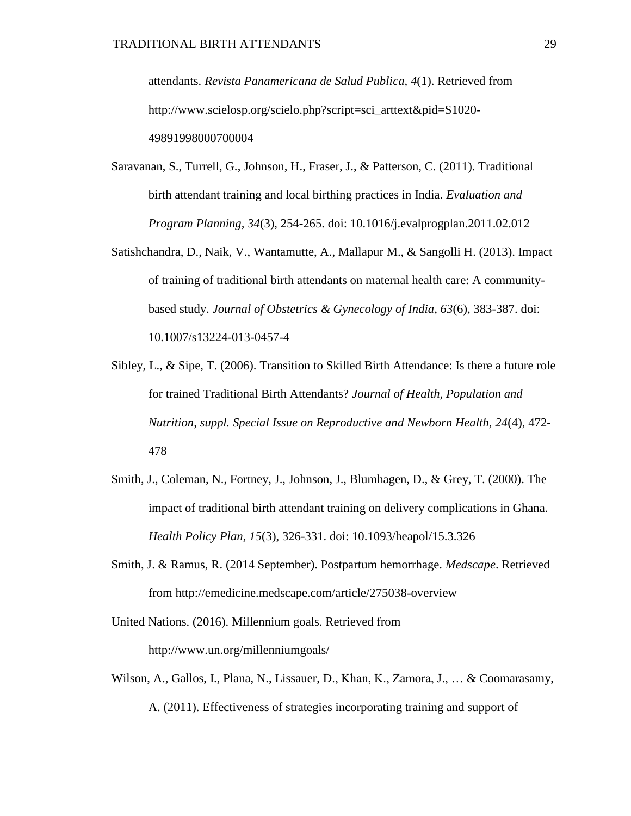attendants. *Revista Panamericana de Salud Publica, 4*(1). Retrieved from http://www.scielosp.org/scielo.php?script=sci\_arttext&pid=S1020- 49891998000700004

- Saravanan, S., Turrell, G., Johnson, H., Fraser, J., & Patterson, C. (2011). Traditional birth attendant training and local birthing practices in India. *Evaluation and Program Planning, 34*(3), 254-265. doi: 10.1016/j.evalprogplan.2011.02.012
- Satishchandra, D., Naik, V., Wantamutte, A., Mallapur M., & Sangolli H. (2013). Impact of training of traditional birth attendants on maternal health care: A communitybased study. *Journal of Obstetrics & Gynecology of India, 63*(6), 383-387. doi: 10.1007/s13224-013-0457-4
- Sibley, L., & Sipe, T. (2006). Transition to Skilled Birth Attendance: Is there a future role for trained Traditional Birth Attendants? *Journal of Health, Population and Nutrition, suppl. Special Issue on Reproductive and Newborn Health, 24*(4), 472- 478
- Smith, J., Coleman, N., Fortney, J., Johnson, J., Blumhagen, D., & Grey, T. (2000). The impact of traditional birth attendant training on delivery complications in Ghana. *Health Policy Plan, 15*(3), 326-331. doi: 10.1093/heapol/15.3.326
- Smith, J. & Ramus, R. (2014 September). Postpartum hemorrhage. *Medscape*. Retrieved from http://emedicine.medscape.com/article/275038-overview
- United Nations. (2016). Millennium goals. Retrieved from http://www.un.org/millenniumgoals/
- Wilson, A., Gallos, I., Plana, N., Lissauer, D., Khan, K., Zamora, J., … & Coomarasamy, A. (2011). Effectiveness of strategies incorporating training and support of